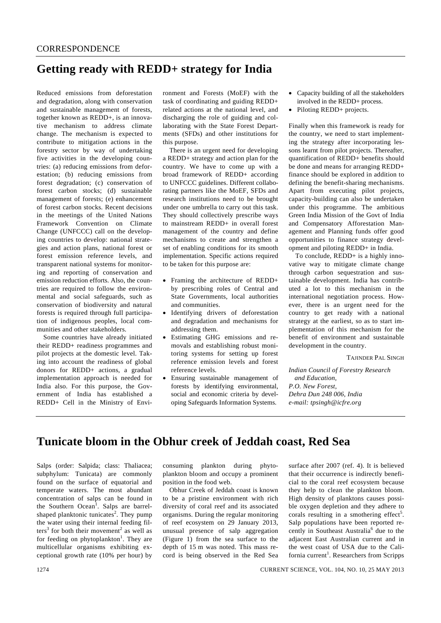## **Getting ready with REDD+ strategy for India**

Reduced emissions from deforestation and degradation, along with conservation and sustainable management of forests, together known as REDD+, is an innovative mechanism to address climate change. The mechanism is expected to contribute to mitigation actions in the forestry sector by way of undertaking five activities in the developing countries: (a) reducing emissions from deforestation; (b) reducing emissions from forest degradation; (c) conservation of forest carbon stocks; (d) sustainable management of forests; (e) enhancement of forest carbon stocks. Recent decisions in the meetings of the United Nations Framework Convention on Climate Change (UNFCCC) call on the developing countries to develop: national strategies and action plans, national forest or forest emission reference levels, and transparent national systems for monitoring and reporting of conservation and emission reduction efforts. Also, the countries are required to follow the environmental and social safeguards, such as conservation of biodiversity and natural forests is required through full participation of indigenous peoples, local communities and other stakeholders.

 Some countries have already initiated their REDD+ readiness programmes and pilot projects at the domestic level. Taking into account the readiness of global donors for REDD+ actions, a gradual implementation approach is needed for India also. For this purpose, the Government of India has established a REDD+ Cell in the Ministry of Environment and Forests (MoEF) with the task of coordinating and guiding REDD+ related actions at the national level, and discharging the role of guiding and collaborating with the State Forest Departments (SFDs) and other institutions for this purpose.

 There is an urgent need for developing a REDD+ strategy and action plan for the country. We have to come up with a broad framework of REDD+ according to UNFCCC guidelines. Different collaborating partners like the MoEF, SFDs and research institutions need to be brought under one umbrella to carry out this task. They should collectively prescribe ways to mainstream REDD+ in overall forest management of the country and define mechanisms to create and strengthen a set of enabling conditions for its smooth implementation. Specific actions required to be taken for this purpose are:

- Framing the architecture of REDD+ by prescribing roles of Central and State Governments, local authorities and communities.
- Identifying drivers of deforestation and degradation and mechanisms for addressing them.
- Estimating GHG emissions and removals and establishing robust monitoring systems for setting up forest reference emission levels and forest reference levels.
- Ensuring sustainable management of forests by identifying environmental, social and economic criteria by developing Safeguards Information Systems.
- Capacity building of all the stakeholders involved in the REDD+ process.
- Piloting REDD+ projects.

Finally when this framework is ready for the country, we need to start implementing the strategy after incorporating lessons learnt from pilot projects. Thereafter, quantification of REDD+ benefits should be done and means for arranging REDD+ finance should be explored in addition to defining the benefit-sharing mechanisms. Apart from executing pilot projects, capacity-building can also be undertaken under this programme. The ambitious Green India Mission of the Govt of India and Compensatory Afforestation Management and Planning funds offer good opportunities to finance strategy development and piloting REDD+ in India.

To conclude, REDD+ is a highly innovative way to mitigate climate change through carbon sequestration and sustainable development. India has contributed a lot to this mechanism in the international negotiation process. However, there is an urgent need for the country to get ready with a national strategy at the earliest, so as to start implementation of this mechanism for the benefit of environment and sustainable development in the country.

TAJINDER PAL SINGH

*Indian Council of Forestry Research and Education, P.O. New Forest, Dehra Dun 248 006, India e-mail: tpsingh@icfre.org* 

## **Tunicate bloom in the Obhur creek of Jeddah coast, Red Sea**

Salps (order: Salpida; class: Thaliacea; subphylum: Tunicata) are commonly found on the surface of equatorial and temperate waters. The most abundant concentration of salps can be found in the Southern Ocean<sup>1</sup>. Salps are barrelshaped planktonic tunicates<sup>2</sup>. They pump the water using their internal feeding filters<sup>3</sup> for both their movement<sup>2</sup> as well as for feeding on phytoplankton<sup>1</sup>. They are multicellular organisms exhibiting exceptional growth rate (10% per hour) by

consuming plankton during phytoplankton bloom and occupy a prominent position in the food web.

 Obhur Creek of Jeddah coast is known to be a pristine environment with rich diversity of coral reef and its associated organisms. During the regular monitoring of reef ecosystem on 29 January 2013, unusual presence of salp aggregation (Figure 1) from the sea surface to the depth of 15 m was noted. This mass record is being observed in the Red Sea surface after 2007 (ref. 4). It is believed that their occurrence is indirectly beneficial to the coral reef ecosystem because they help to clean the plankton bloom. High density of planktons causes possible oxygen depletion and they adhere to corals resulting in a smothering effect<sup>5</sup>. Salp populations have been reported recently in Southeast Australia<sup>6</sup> due to the adjacent East Australian current and in the west coast of USA due to the California current<sup>1</sup>. Researchers from Scripps